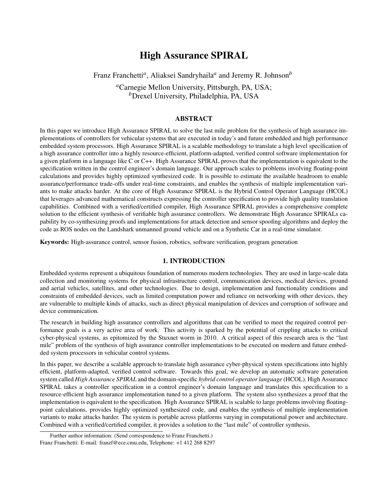# High Assurance SPIRAL

Franz Franchetti*<sup>a</sup>* , Aliaksei Sandryhaila*<sup>a</sup>* and Jeremy R. Johnson*<sup>b</sup>*

*<sup>a</sup>*Carnegie Mellon University, Pittsburgh, PA, USA; *<sup>b</sup>*Drexel University, Philadelphia, PA, USA

# ABSTRACT

In this paper we introduce High Assurance SPIRAL to solve the last mile problem for the synthesis of high assurance implementations of controllers for vehicular systems that are executed in today's and future embedded and high performance embedded system processors. High Assurance SPIRAL is a scalable methodology to translate a high level specification of a high assurance controller into a highly resource-efficient, platform-adapted, verified control software implementation for a given platform in a language like C or C++. High Assurance SPIRAL proves that the implementation is equivalent to the specification written in the control engineer's domain language. Our approach scales to problems involving floating-point calculations and provides highly optimized synthesized code. It is possible to estimate the available headroom to enable assurance/performance trade-offs under real-time constraints, and enables the synthesis of multiple implementation variants to make attacks harder. At the core of High Assurance SPIRAL is the Hybrid Control Operator Language (HCOL) that leverages advanced mathematical constructs expressing the controller specification to provide high quality translation capabilities. Combined with a verified/certified compiler, High Assurance SPIRAL provides a comprehensive complete solution to the efficient synthesis of verifiable high assurance controllers. We demonstrate High Assurance SPIRALs capability by co-synthesizing proofs and implementations for attack detection and sensor spoofing algorithms and deploy the code as ROS nodes on the Landshark unmanned ground vehicle and on a Synthetic Car in a real-time simulator.

Keywords: High-assurance control, sensor fusion, robotics, software verification, program generation

# 1. INTRODUCTION

Embedded systems represent a ubiquitous foundation of numerous modern technologies. They are used in large-scale data collection and monitoring systems for physical infrastructure control, communication devices, medical devices, ground and aerial vehicles, satellites, and other technologies. Due to design, implementation and functionality conditions and constraints of embedded devices, such as limited computation power and reliance on networking with other devices, they are vulnerable to multiple kinds of attacks, such as direct physical manipulation of devices and corruption of software and device communication.

The research in building high assurance controllers and algorithms that can be verified to meet the required control performance goals is a very active area of work. This activity is sparked by the potential of crippling attacks to critical cyber-physical systems, as epitomized by the Stuxnet worm in 2010. A critical aspect of this research area is the "last mile" problem of the synthesis of high assurance controller implementations to be executed on modern and future embedded system processors in vehicular control systems.

In this paper, we describe a scalable approach to translate high assurance cyber-physical system specifications into highly efficient, platform-adapted, verified control software. Towards this goal, we develop an automatic software generation system called *High Assurance SPIRAL* and the domain-specific *hybrid control operator language* (HCOL). High Assurance SPIRAL takes a controller specification in a control engineer's domain language and translates this specification to a resource-efficient high assurance implementation tuned to a given platform. The system also synthesizes a proof that the implementation is equivalent to the specification. High Assurance SPIRAL is scalable to large problems involving floatingpoint calculations, provides highly optimized synthesized code, and enables the synthesis of multiple implementation variants to make attacks harder. The system is portable across platforms varying in computational power and architecture. Combined with a verified/certified compiler, it provides a solution to the "last mile" of controller synthesis.

Further author information: (Send correspondence to Franz Franchetti.) Franz Franchetti: E-mail: franzf@ece.cmu.edu, Telephone: +1 412 268 8297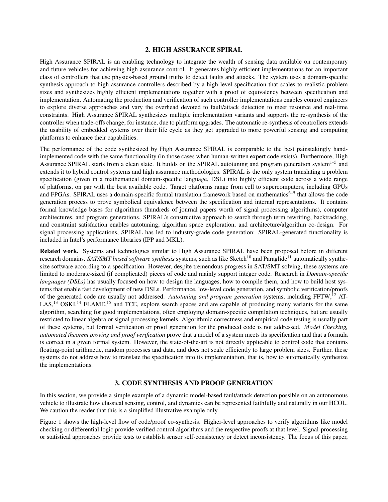### 2. HIGH ASSURANCE SPIRAL

High Assurance SPIRAL is an enabling technology to integrate the wealth of sensing data available on contemporary and future vehicles for achieving high assurance control. It generates highly efficient implementations for an important class of controllers that use physics-based ground truths to detect faults and attacks. The system uses a domain-specific synthesis approach to high assurance controllers described by a high level specification that scales to realistic problem sizes and synthesizes highly efficient implementations together with a proof of equivalency between specification and implementation. Automating the production and verification of such controller implementations enables control engineers to explore diverse approaches and vary the overhead devoted to fault/attack detection to meet resource and real-time constraints. High Assurance SPIRAL synthesizes multiple implementation variants and supports the re-synthesis of the controller when trade-offs change, for instance, due to platform upgrades. The automatic re-synthesis of controllers extends the usability of embedded systems over their life cycle as they get upgraded to more powerful sensing and computing platforms to enhance their capabilities.

The performance of the code synthesized by High Assurance SPIRAL is comparable to the best painstakingly handimplemented code with the same functionality (in those cases when human-written expert code exists). Furthermore, High Assurance SPIRAL starts from a clean slate. It builds on the SPIRAL autotuning and program generation system<sup>1-5</sup> and extends it to hybrid control systems and high assurance methodologies. SPIRAL is the only system translating a problem specification (given in a mathematical domain-specific language, DSL) into highly efficient code across a wide range of platforms, on par with the best available code. Target platforms range from cell to supercomputers, including GPUs and FPGAs. SPIRAL uses a domain-specific formal translation framework based on mathematics<sup>6–9</sup> that allows the code generation process to prove symbolical equivalence between the specification and internal representations. It contains formal knowledge bases for algorithms (hundreds of journal papers worth of signal processing algorithms), computer architectures, and program generations. SPIRAL's constructive approach to search through term rewriting, backtracking, and constraint satisfaction enables autotuning, algorithm space exploration, and architecture/algorithm co-design. For signal processing applications, SPIRAL has led to industry-grade code generation: SPIRAL-generated functionality is included in Intel's performance libraries (IPP and MKL).

Related work. Systems and technologies similar to High Assurance SPIRAL have been proposed before in different research domains. *SAT/SMT based software synthesis* systems, such as like Sketch<sup>10</sup> and Paraglide<sup>11</sup> automatically synthesize software according to a specification. However, despite tremendous progress in SAT/SMT solving, these systems are limited to moderate-sized (if complicated) pieces of code and mainly support integer code. Research in *Domain-specific languages (DSLs)* has usually focused on how to design the languages, how to compile them, and how to build host systems that enable fast development of new DSLs. Performance, low-level code generation, and symbolic verification/proofs of the generated code are usually not addressed. *Autotuning and program generation* systems, including FFTW,<sup>12</sup> AT-LAS,<sup>13</sup> OSKI,<sup>14</sup> FLAME,<sup>15</sup> and TCE, explore search spaces and are capable of producing many variants for the same algorithm, searching for good implementations, often employing domain-specific compilation techniques, but are usually restricted to linear algebra or signal processing kernels. Algorithmic correctness and empirical code testing is usually part of these systems, but formal verification or proof generation for the produced code is not addressed. *Model Checking, automated theorem proving and proof verification* prove that a model of a system meets its specification and that a formula is correct in a given formal system. However, the state-of-the-art is not directly applicable to control code that contains floating-point arithmetic, random processes and data, and does not scale efficiently to large problem sizes. Further, these systems do not address how to translate the specification into its implementation, that is, how to automatically synthesize the implementations.

# 3. CODE SYNTHESIS AND PROOF GENERATION

In this section, we provide a simple example of a dynamic model-based fault/attack detection possible on an autonomous vehicle to illustrate how classical sensing, control, and dynamics can be represented faithfully and naturally in our HCOL. We caution the reader that this is a simplified illustrative example only.

Figure 1 shows the high-level flow of code/proof co-synthesis. Higher-level approaches to verify algorithms like model checking or differential logic provide verified control algorithms and the respective proofs at that level. Signal-processing or statistical approaches provide tests to establish sensor self-consistency or detect inconsistency. The focus of this paper,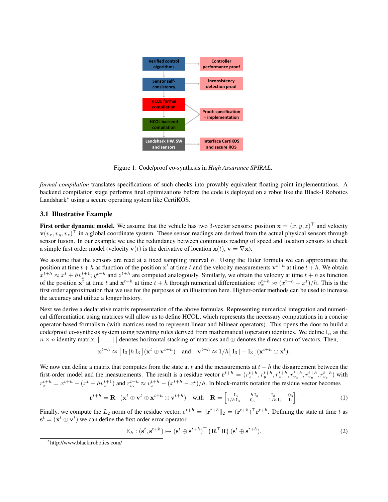

Figure 1: Code/proof co-synthesis in *High Assurance SPIRAL*.

*formal compilation* translates specifications of such checks into provably equivalent floating-point implementations. A backend compilation stage performs final optimizations before the code is deployed on a robot like the Black-I Robotics Landshark<sup>∗</sup> using a secure operating system like CertiKOS.

## 3.1 Illustrative Example

**First order dynamic model.** We assume that the vehicle has two 3-vector sensors: position  $\mathbf{x} = (x, y, z)^\top$  and velocity  $\mathbf{v}(v_x, v_y, v_z)^\top$  in a global coordinate system. These sensor readings are derived from the actual physical sensors through sensor fusion. In our example we use the redundancy between continuous reading of speed and location sensors to check a simple first order model (velocity  $\mathbf{v}(t)$  is the derivative of location  $\mathbf{x}(t)$ ,  $\mathbf{v} = \nabla \mathbf{x}$ ).

We assume that the sensors are read at a fixed sampling interval  $h$ . Using the Euler formula we can approximate the position at time  $t + h$  as function of the position  $x^t$  at time  $t$  and the velocity measurements  $v^{t+h}$  at time  $t + h$ . We obtain  $x^{t+h} \approx x^t + hv_x^{t+1}$ ;  $y^{t+h}$  and  $z^{t+h}$  are computed analogously. Similarly, we obtain the velocity at time  $t+h$  as function of the position  $x^t$  at time t and  $x^{t+h}$  at time  $t+h$  through numerical differentiation:  $v_x^{t+h} \approx (x^{t+h} - x^t)/h$ . This is the first order approximation that we use for the purposes of an illustration here. Higher-order methods can be used to increase the accuracy and utilize a longer history.

Next we derive a declarative matrix representation of the above formulas. Representing numerical integration and numerical differentiation using matrices will allow us to define HCOL, which represents the necessary computations in a concise operator-based formalism (with matrices used to represent linear and bilinear operators). This opens the door to build a code/proof co-synthesis system using rewriting rules derived from mathematical (operator) identities. We define  $I_n$  as the  $n \times n$  identity matrix. [.]  $\dots$  ]. denotes horizontal stacking of matrices and  $\oplus$  denotes the direct sum of vectors. Then,

$$
\mathbf{x}^{t+h} \approx \left[\mathbf{I}_3 \, |h \, \mathbf{I}_3\right] (\mathbf{x}^t \oplus \mathbf{v}^{t+h}) \quad \text{and} \quad \mathbf{v}^{t+h} \approx 1/h \left[\mathbf{I}_3 \, |-\mathbf{I}_3\right] (\mathbf{x}^{t+h} \oplus \mathbf{x}^t).
$$

We now can define a matrix that computes from the state at t and the measurements at  $t + h$  the disagreement between the first-order model and the measurements. The result is a residue vector  $\mathbf{r}^{t+h} = (r_x^{t+h}, r_y^{t+h}, r_z^{t+h}, r_{v_x}^{t+h}, r_{v_y}^{t+h}, r_{v_z}^{t+h}, r_{v_x}^{t+h})$  with  $r_x^{t+h} = x^{t+h} - (x^t + hv_x^{t+1})$  and  $r_{v_x}^{t+h} \approx v_x^{t+h} - (x^{t+h} - x^t)/h$ . In block-matrix notation the residue vector becomes

$$
\mathbf{r}^{t+h} = \mathbf{R} \cdot (\mathbf{x}^t \oplus \mathbf{v}^t \oplus \mathbf{x}^{t+h} \oplus \mathbf{v}^{t+h}) \quad \text{with} \quad \mathbf{R} = \begin{bmatrix} -\mathbf{I}_3 & -h\mathbf{I}_3 & \mathbf{I}_3 & \mathbf{0}_3 \\ 1/h\mathbf{I}_3 & \mathbf{0}_3 & -1/h\mathbf{I}_3 & \mathbf{I}_3 \end{bmatrix} . \tag{1}
$$

Finally, we compute the  $L_2$  norm of the residue vector,  $e^{t+h} = ||\mathbf{r}^{t+h}||_2 = (\mathbf{r}^{t+h})^\top \mathbf{r}^{t+h}$ . Defining the state at time t as  $\mathbf{s}^t = (\mathbf{x}^t \oplus \mathbf{v}^t)$  we can define the first order error operator

$$
E_h : (\mathbf{s}^t, \mathbf{s}^{t+h}) \mapsto (\mathbf{s}^t \oplus \mathbf{s}^{t+h})^\top (\mathbf{R}^\top \mathbf{R}) (\mathbf{s}^t \oplus \mathbf{s}^{t+h}). \tag{2}
$$

<sup>∗</sup> http://www.blackirobotics.com/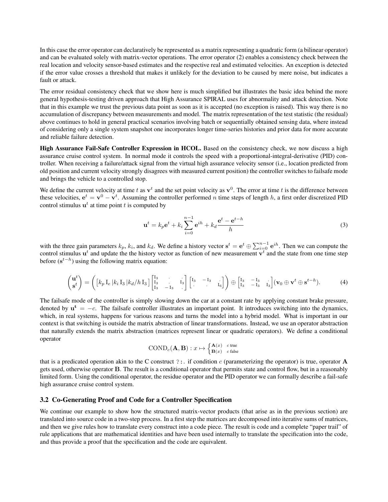In this case the error operator can declaratively be represented as a matrix representing a quadratic form (a bilinear operator) and can be evaluated solely with matrix-vector operations. The error operator (2) enables a consistency check between the real location and velocity sensor-based estimates and the respective real and estimated velocities. An exception is detected if the error value crosses a threshold that makes it unlikely for the deviation to be caused by mere noise, but indicates a fault or attack.

The error residual consistency check that we show here is much simplified but illustrates the basic idea behind the more general hypothesis-testing driven approach that High Assurance SPIRAL uses for abnormality and attack detection. Note that in this example we trust the previous data point as soon as it is accepted (no exception is raised). This way there is no accumulation of discrepancy between measurements and model. The matrix representation of the test statistic (the residual) above continues to hold in general practical scenarios involving batch or sequentially obtained sensing data, where instead of considering only a single system snapshot one incorporates longer time-series histories and prior data for more accurate and reliable failure detection.

High Assurance Fail-Safe Controller Expression in HCOL. Based on the consistency check, we now discuss a high assurance cruise control system. In normal mode it controls the speed with a proportional-integral-derivative (PID) controller. When receiving a failure/attack signal from the virtual high assurance velocity sensor (i.e., location predicted from old position and current velocity strongly disagrees with measured current position) the controller switches to failsafe mode and brings the vehicle to a controlled stop.

We define the current velocity at time t as  $v^t$  and the set point velocity as  $v^0$ . The error at time t is the difference between these velocities,  $e^t = v^0 - v^t$ . Assuming the controller performed *n* time steps of length *h*, a first order discretized PID control stimulus  $\mathbf{u}^t$  at time point t is computed by

$$
\mathbf{u}^{t} = k_{p} \mathbf{e}^{t} + k_{i} \sum_{i=0}^{n-1} \mathbf{e}^{ih} + k_{d} \frac{\mathbf{e}^{t} - \mathbf{e}^{t-h}}{h}
$$
 (3)

with the three gain parameters  $k_p$ ,  $k_i$ , and  $k_d$ . We define a history vector  $\mathbf{s}^t = \mathbf{e}^t \oplus \sum_{i=0}^{n-1} \mathbf{e}^{ih}$ . Then we can compute the control stimulus  $u^t$  and update the the history vector as function of new measurement  $v^t$  and the state from one time step before  $(s^{t-h})$  using the following matrix equation:

$$
\begin{pmatrix} \mathbf{u}^t \\ \mathbf{s}^t \end{pmatrix} = \left( \begin{bmatrix} k_p \mathbf{I}_e \, |k_i \mathbf{I}_3 \, |k_d/h \mathbf{I}_3 \end{bmatrix} \begin{bmatrix} \mathbf{I}_3 & \mathbf{I}_3 \\ \mathbf{I}_3 & -\mathbf{I}_3 & \mathbf{I}_3 \end{bmatrix} \begin{bmatrix} \mathbf{I}_3 & -\mathbf{I}_3 & \mathbf{I}_3 \\ \mathbf{I}_3 & -\mathbf{I}_3 & \mathbf{I}_3 \end{bmatrix} (\mathbf{v}_0 \oplus \mathbf{v}^t \oplus \mathbf{s}^{t-h}). \tag{4}
$$

The failsafe mode of the controller is simply slowing down the car at a constant rate by applying constant brake pressure, denoted by  $u^t = -c$ . The failsafe controller illustrates an important point. It introduces switching into the dynamics, which, in real systems, happens for various reasons and turns the model into a hybrid model. What is important in our context is that switching is outside the matrix abstraction of linear transformations. Instead, we use an operator abstraction that naturally extends the matrix abstraction (matrices represent linear or quadratic operators). We define a conditional operator

$$
\text{COND}_c(\mathbf{A}, \mathbf{B}): x \mapsto \left\{ \begin{matrix} \mathbf{A}(x) & c \text{ true} \\ \mathbf{B}(x) & c \text{ false} \end{matrix} \right.
$$

that is a predicated operation akin to the C construct ?:. if condition c (parameterizing the operator) is true, operator  $\bf{A}$ gets used, otherwise operator B. The result is a conditional operator that permits state and control flow, but in a reasonably limited form. Using the conditional operator, the residue operator and the PID operator we can formally describe a fail-safe high assurance cruise control system.

#### 3.2 Co-Generating Proof and Code for a Controller Specification

We continue our example to show how the structured matrix-vector products (that arise as in the previous section) are translated into source code in a two-step process. In a first step the matrices are decomposed into iterative sums of matrices, and then we give rules how to translate every construct into a code piece. The result is code and a complete "paper trail" of rule applications that are mathematical identities and have been used internally to translate the specification into the code, and thus provide a proof that the specification and the code are equivalent.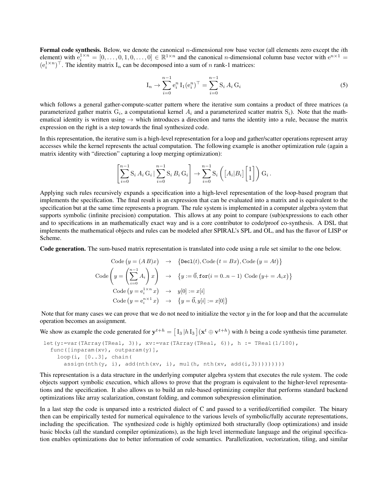Formal code synthesis. Below, we denote the canonical  $n$ -dimensional row base vector (all elements zero except the *i*th element) with  $e_i^{1 \times n} = [0, \ldots, 0, 1, 0, \ldots, 0] \in \mathbb{R}^{1 \times n}$  and the canonical *n*-dimensional column base vector with  $e^{n \times 1} =$  $(e_i^{1 \times n})^{\top}$ . The identity matrix  $I_n$  can be decomposed into a sum of n rank-1 matrices:

$$
I_n \to \sum_{i=0}^{n-1} e_i^n I_1(e_i^n)^\top = \sum_{i=0}^{n-1} S_i A_i G_i
$$
 (5)

which follows a general gather-compute-scatter pattern where the iterative sum contains a product of three matrices (a parameterized gather matrix  $G_i$ , a computational kernel  $A_i$  and a parameterized scatter matrix  $S_i$ ). Note that the mathematical identity is written using  $\rightarrow$  which introduces a direction and turns the identity into a rule, because the matrix expression on the right is a step towards the final synthesized code.

In this representation, the iterative sum is a high-level representation for a loop and gather/scatter operations represent array accesses while the kernel represents the actual computation. The following example is another optimization rule (again a matrix identity with "direction" capturing a loop merging optimization):

$$
\left[\sum_{i=0}^{n-1} \mathbf{S}_i A_i \mathbf{G}_i \,|\, \sum_{i=0}^{n-1} \mathbf{S}_i B_i \mathbf{G}_i\right] \to \sum_{i=0}^{n-1} \mathbf{S}_i \left(\left[A_i | B_i\right] \begin{bmatrix} 1\\1 \end{bmatrix}\right) \mathbf{G}_i.
$$

Applying such rules recursively expands a specification into a high-level representation of the loop-based program that implements the specification. The final result is an expression that can be evaluated into a matrix and is equivalent to the specification but at the same time represents a program. The rule system is implemented in a computer algebra system that supports symbolic (infinite precision) computation. This allows at any point to compare (sub)expressions to each other and to specifications in an mathematically exact way and is a core contributor to code/proof co-synthesis. A DSL that implements the mathematical objects and rules can be modeled after SPIRAL's SPL and OL, and has the flavor of LISP or Scheme.

Code generation. The sum-based matrix representation is translated into code using a rule set similar to the one below.

$$
\begin{array}{rcl}\n\text{Code } (y = (A \ B)x) & \rightarrow & \{\text{Dec1}(t), \text{Code } (t = Bx), \text{Code } (y = At)\}\n\end{array}
$$
\n
$$
\begin{array}{rcl}\n\text{Code } \left(y = \left(\sum_{i=0}^{n-1} A_i\right)x\right) & \rightarrow & \{y := \vec{0}, \text{for}(i = 0..n-1) \text{ Code } (y + A_i x)\}\n\end{array}
$$
\n
$$
\begin{array}{rcl}\n\text{Code } (y = e_i^{1 \times n} x) & \rightarrow & y[0] := x[i] \\
\text{Code } (y = e_i^{n \times 1} x) & \rightarrow & \{y = \vec{0}, y[i] := x[0]\}\n\end{array}
$$

Note that for many cases we can prove that we do not need to initialize the vector  $y$  in the for loop and that the accumulate operation becomes an assignment.

We show as example the code generated for  $y^{t+h} = \left[ \frac{I_3}{h} \frac{I_3}{\left( x^t \oplus v^{t+h} \right)} \right]$  with h being a code synthesis time parameter.

let(y:=var(TArray(TReal, 3)), xv:=var(TArray(TReal, 6)), h := TReal(1/100), func([inparam(xv), outparam(y)], loop(i, [0..3], chain( assign(nth(y, i), add(nth(xv, i), mul(h, nth(xv, add(i,3)))))))))

This representation is a data structure in the underlying computer algebra system that executes the rule system. The code objects support symbolic execution, which allows to prove that the program is equivalent to the higher-level representations and the specification. It also allows us to build an rule-based optimizing compiler that performs standard backend optimizations like array scalarization, constant folding, and common subexpression elimination.

In a last step the code is unparsed into a restricted dialect of C and passed to a verified/certified compiler. The binary then can be empirically tested for numerical equivalence to the various levels of symbolic/fully accurate representations, including the specification. The synthesized code is highly optimized both structurally (loop optimizations) and inside basic blocks (all the standard compiler optimizations), as the high level intermediate language and the original specification enables optimizations due to better information of code semantics. Parallelization, vectorization, tiling, and similar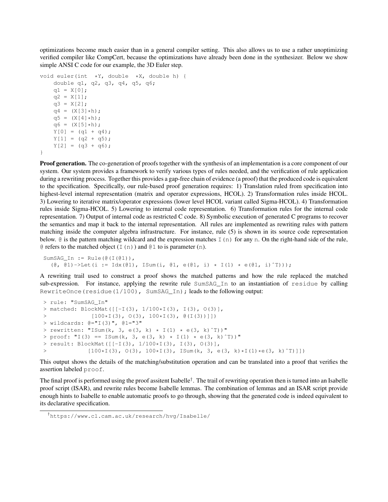optimizations become much easier than in a general compiler setting. This also allows us to use a rather unoptimizing verified compiler like CompCert, because the optimizations have already been done in the synthesizer. Below we show simple ANSI C code for our example, the 3D Euler step.

```
void euler(int *Y, double *X, double h) {
   double q1, q2, q3, q4, q5, q6;
   q1 = X[0];q2 = X[1];q3 = X[2];
   q4 = (X[3]*h);
   q5 = (X[4]*h);
   q6 = (X[5]*h);
   Y[0] = (q1 + q4);Y[1] = (q2 + q5);Y[2] = (q3 + q6);}
```
Proof generation. The co-generation of proofs together with the synthesis of an implementation is a core component of our system. Our system provides a framework to verify various types of rules needed, and the verification of rule application during a rewriting process. Together this provides a gap-free chain of evidence (a proof) that the produced code is equivalent to the specification. Specifically, our rule-based proof generation requires: 1) Translation ruled from specification into highest-level internal representation (matrix and operator expressions, HCOL). 2) Transformation rules inside HCOL. 3) Lowering to iterative matrix/operator expressions (lower level HCOL variant called Sigma-HCOL). 4) Transformation rules inside Sigma-HCOL. 5) Lowering to internal code representation. 6) Transformation rules for the internal code representation. 7) Output of internal code as restricted C code. 8) Symbolic execution of generated C programs to recover the semantics and map it back to the internal representation. All rules are implemented as rewriting rules with pattern matching inside the computer algebra infrastructure. For instance, rule (5) is shown in its source code representation below.  $\theta$  is the pattern matching wildcard and the expression matches  $I(n)$  for any n. On the right-hand side of the rule,  $\&$  refers to the matched object (I(n)) and  $\&$  1 to is parameter (n).

 $SumSAG_In := Rule(\mathcal{C}(I(\mathcal{C}1)),$ (@, @1)->Let(i := Idx(@1), ISum(i, @1, e(@1, i) \* I(1) \* e(@1, i)^T)));

A rewriting trail used to construct a proof shows the matched patterns and how the rule replaced the matched sub-expression. For instance, applying the rewrite rule SumSAG\_In to an instantiation of residue by calling RewriteOnce(residue(1/100), SumSAG\_In); leads to the following output:

```
> rule: "SumSAG_In"
> matched: BlockMat([[-I(3), 1/100*I(3), I(3), O(3)],
> [100*I(3), 0(3), 100*I(3), 0(I(3))]]> wildcards: @="I(3)", @1="3"
> rewritten: "ISum(k, 3, e(3, k) * I(1) * e(3, k)^T))"
> proof: "I(3) == ISum(k, 3, e(3, k) * I(1) * e(3, k)^T))"
> result: BlockMat([[-I(3), 1/100*I(3), I(3), O(3)],
             [100 \times I(3), 0(3), 100 \times I(3), ISum(k, 3, e(3, k) \times I(1) \times e(3, k)^T]]
```
This output shows the details of the matching/substitution operation and can be translated into a proof that verifies the assertion labeled proof.

The final proof is performed using the proof assitent Isabelle<sup>†</sup>. The trail of rewriting operation then is turned into an Isabelle proof script (ISAR), and rewrite rules become Isabelle lemmas. The combination of lemmas and an ISAR script provide enough hints to Isabelle to enable automatic proofs to go through, showing that the generated code is indeed equivalent to its declarative specification.

<sup>†</sup>https://www.cl.cam.ac.uk/research/hvg/Isabelle/